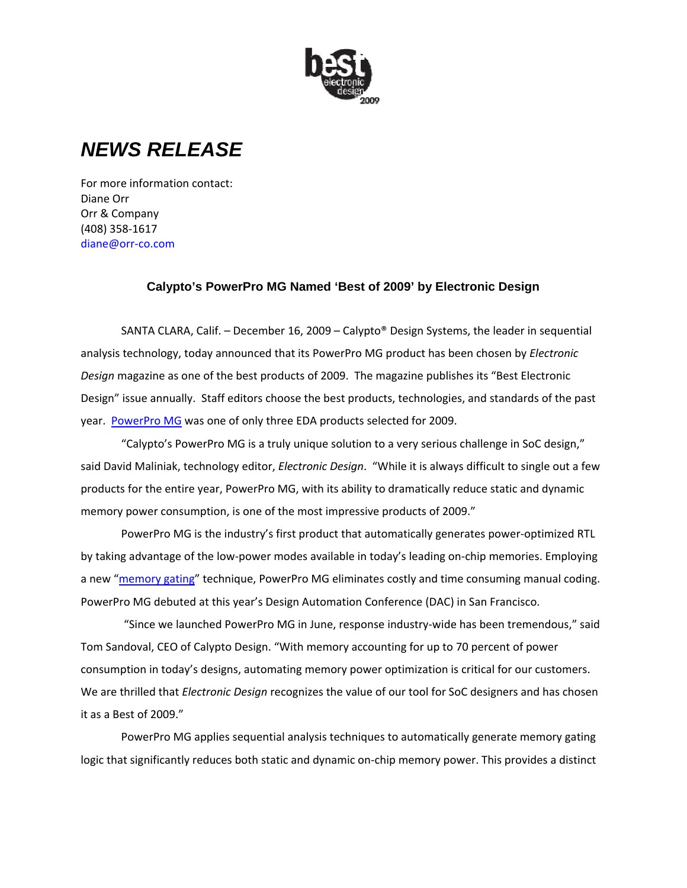

## *NEWS RELEASE*

For more information contact: Diane Orr Orr & Company (408) 358‐1617 diane@orr‐co.com

## **Calypto's PowerPro MG Named 'Best of 2009' by Electronic Design**

SANTA CLARA, Calif. – December 16, 2009 – Calypto® Design Systems, the leader in sequential analysis technology, today announced that its PowerPro MG product has been chosen by *Electronic Design* magazine as one of the best products of 2009. The magazine publishes its "Best Electronic Design" issue annually. Staff editors choose the best products, technologies, and standards of the past year. PowerPro MG was one of only three EDA products selected for 2009.

"Calypto's PowerPro MG is a truly unique solution to a very serious challenge in SoC design," said David Maliniak, technology editor, *Electronic Design*. "While it is always difficult to single out a few products for the entire year, PowerPro MG, with its ability to dramatically reduce static and dynamic memory power consumption, is one of the most impressive products of 2009."

PowerPro MG is the industry's first product that automatically generates power‐optimized RTL by taking advantage of the low‐power modes available in today's leading on‐chip memories. Employing a new "memory gating" technique, PowerPro MG eliminates costly and time consuming manual coding. PowerPro MG debuted at this year's Design Automation Conference (DAC) in San Francisco.

"Since we launched PowerPro MG in June, response industry‐wide has been tremendous," said Tom Sandoval, CEO of Calypto Design. "With memory accounting for up to 70 percent of power consumption in today's designs, automating memory power optimization is critical for our customers. We are thrilled that *Electronic Design* recognizes the value of our tool for SoC designers and has chosen it as a Best of 2009."

PowerPro MG applies sequential analysis techniques to automatically generate memory gating logic that significantly reduces both static and dynamic on‐chip memory power. This provides a distinct